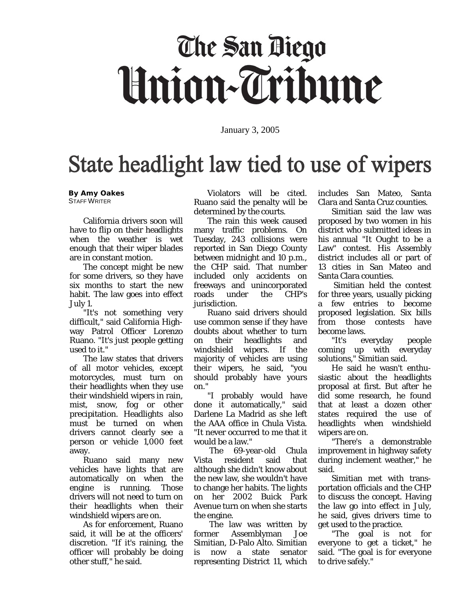# The San Diego Union-Tribune

January 3, 2005

## State headlight law tied to use of wipers

#### **By Amy Oakes** STAFF WRITER

 California drivers soon will have to flip on their headlights when the weather is wet enough that their wiper blades are in constant motion.

 The concept might be new for some drivers, so they have six months to start the new habit. The law goes into effect July 1.

 "It's not something very difficult," said California Highway Patrol Officer Lorenzo Ruano. "It's just people getting used to it."

 The law states that drivers of all motor vehicles, except motorcycles, must turn on their headlights when they use their windshield wipers in rain, mist, snow, fog or other precipitation. Headlights also must be turned on when drivers cannot clearly see a person or vehicle 1,000 feet away.

 Ruano said many new vehicles have lights that are automatically on when the engine is running. Those drivers will not need to turn on their headlights when their windshield wipers are on.

 As for enforcement, Ruano said, it will be at the officers' discretion. "If it's raining, the officer will probably be doing other stuff," he said.

 Violators will be cited. Ruano said the penalty will be determined by the courts.

 The rain this week caused many traffic problems. On Tuesday, 243 collisions were reported in San Diego County between midnight and 10 p.m., the CHP said. That number included only accidents on freeways and unincorporated roads under the CHP's jurisdiction.

 Ruano said drivers should use common sense if they have doubts about whether to turn on their headlights and windshield wipers. If the majority of vehicles are using their wipers, he said, "you should probably have yours on."

 "I probably would have done it automatically," said Darlene La Madrid as she left the AAA office in Chula Vista. "It never occurred to me that it

would be a law."<br>The 69-ve 69-year-old Chula Vista resident said that although she didn't know about the new law, she wouldn't have to change her habits. The lights on her 2002 Buick Park Avenue turn on when she starts the engine.

 The law was written by former Assemblyman Joe Simitian, D-Palo Alto. Simitian is now a state senator representing District 11, which includes San Mateo, Santa Clara and Santa Cruz counties.

 Simitian said the law was proposed by two women in his district who submitted ideas in his annual "It Ought to be a Law" contest. His Assembly district includes all or part of 13 cities in San Mateo and Santa Clara counties.

 Simitian held the contest for three years, usually picking a few entries to become proposed legislation. Six bills from those contests have become laws.

 "It's everyday people coming up with everyday solutions," Simitian said.

 He said he wasn't enthusiastic about the headlights proposal at first. But after he did some research, he found that at least a dozen other states required the use of headlights when windshield wipers are on.

 "There's a demonstrable improvement in highway safety during inclement weather," he said.

 Simitian met with transportation officials and the CHP to discuss the concept. Having the law go into effect in July, he said, gives drivers time to get used to the practice.

 "The goal is not for everyone to get a ticket," he said. "The goal is for everyone to drive safely."